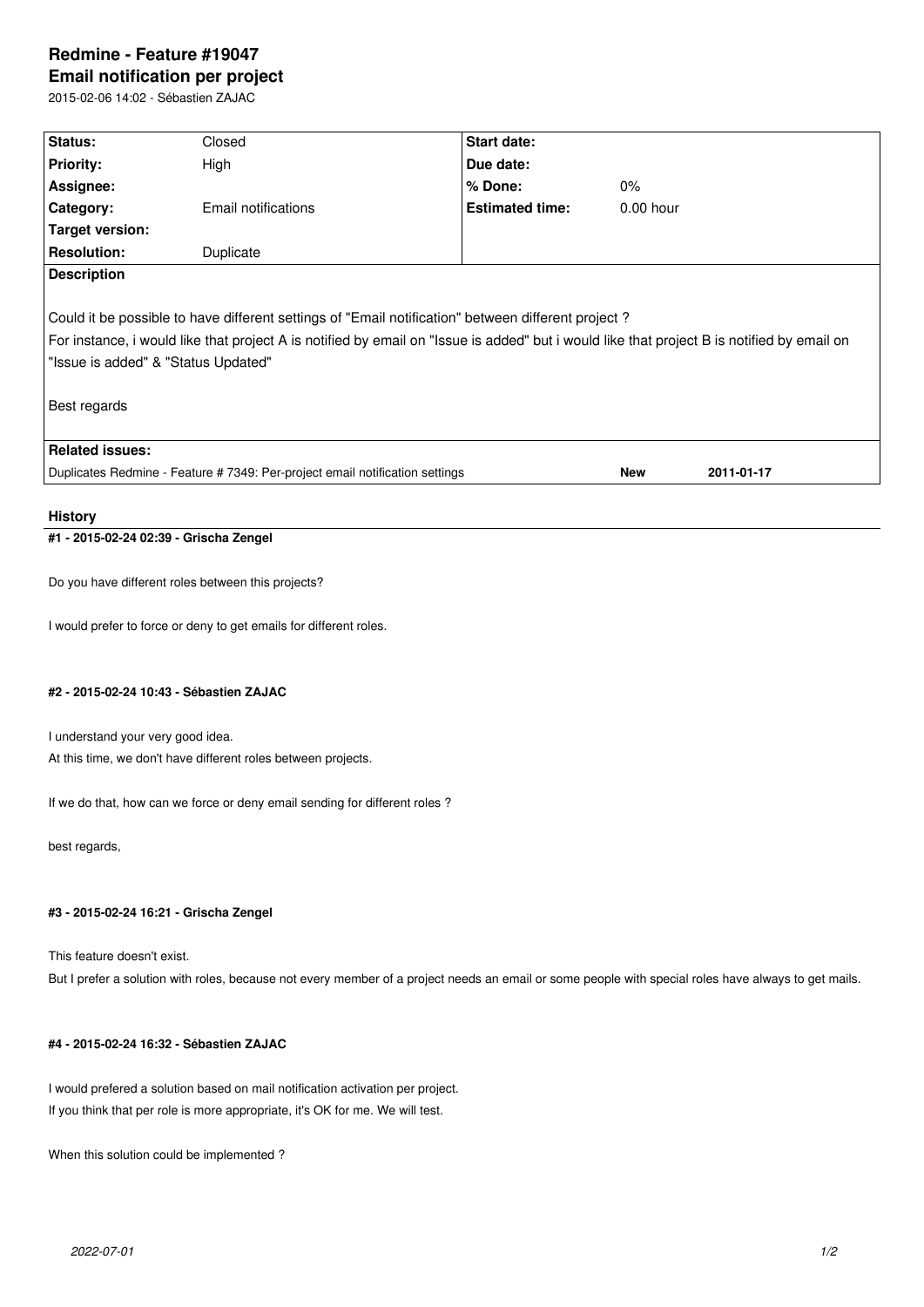# **Redmine - Feature #19047 Email notification per project**

2015-02-06 14:02 - Sébastien ZAJAC

| Status:                                                                                                                                                                                                                                                                                                 | Closed              | <b>Start date:</b>     |             |            |  |
|---------------------------------------------------------------------------------------------------------------------------------------------------------------------------------------------------------------------------------------------------------------------------------------------------------|---------------------|------------------------|-------------|------------|--|
| <b>Priority:</b>                                                                                                                                                                                                                                                                                        | High                | Due date:              |             |            |  |
| Assignee:                                                                                                                                                                                                                                                                                               |                     | % Done:                | $0\%$       |            |  |
| <b>Category:</b>                                                                                                                                                                                                                                                                                        | Email notifications | <b>Estimated time:</b> | $0.00$ hour |            |  |
| Target version:                                                                                                                                                                                                                                                                                         |                     |                        |             |            |  |
| <b>Resolution:</b>                                                                                                                                                                                                                                                                                      | Duplicate           |                        |             |            |  |
| <b>Description</b>                                                                                                                                                                                                                                                                                      |                     |                        |             |            |  |
| Could it be possible to have different settings of "Email notification" between different project?<br>For instance, i would like that project A is notified by email on "Issue is added" but i would like that project B is notified by email on<br>"Issue is added" & "Status Updated"<br>Best regards |                     |                        |             |            |  |
| <b>Related issues:</b>                                                                                                                                                                                                                                                                                  |                     |                        |             |            |  |
| Duplicates Redmine - Feature # 7349: Per-project email notification settings                                                                                                                                                                                                                            |                     |                        | <b>New</b>  | 2011-01-17 |  |
|                                                                                                                                                                                                                                                                                                         |                     |                        |             |            |  |

#### **History**

## **#1 - 2015-02-24 02:39 - Grischa Zengel**

Do you have different roles between this projects?

I would prefer to force or deny to get emails for different roles.

#### **#2 - 2015-02-24 10:43 - Sébastien ZAJAC**

I understand your very good idea. At this time, we don't have different roles between projects.

If we do that, how can we force or deny email sending for different roles ?

best regards,

## **#3 - 2015-02-24 16:21 - Grischa Zengel**

This feature doesn't exist.

But I prefer a solution with roles, because not every member of a project needs an email or some people with special roles have always to get mails.

## **#4 - 2015-02-24 16:32 - Sébastien ZAJAC**

I would prefered a solution based on mail notification activation per project. If you think that per role is more appropriate, it's OK for me. We will test.

When this solution could be implemented ?